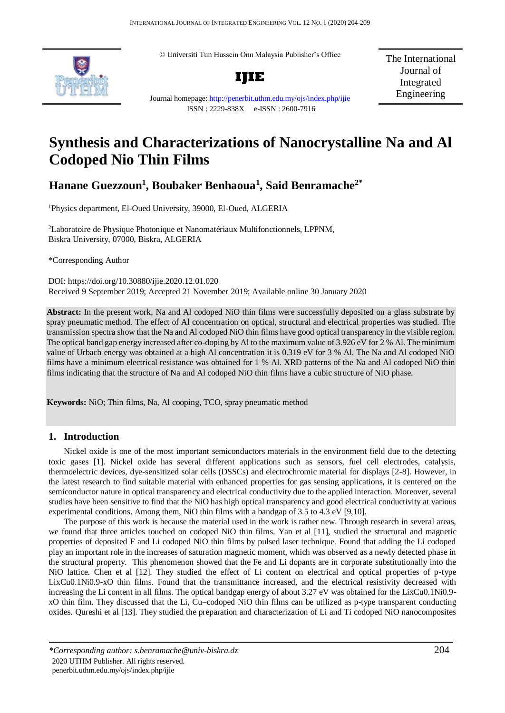© Universiti Tun Hussein Onn Malaysia Publisher's Office





The International Journal of Integrated Engineering

Journal homepage:<http://penerbit.uthm.edu.my/ojs/index.php/ijie> ISSN : 2229-838X e-ISSN : 2600-7916

# **Synthesis and Characterizations of Nanocrystalline Na and Al Codoped Nio Thin Films**

# **Hanane Guezzoun<sup>1</sup> , Boubaker Benhaoua<sup>1</sup> , Said Benramache2\***

<sup>1</sup>Physics department, El-Oued University, 39000, El-Oued, ALGERIA

<sup>2</sup>Laboratoire de Physique Photonique et Nanomatériaux Multifonctionnels, LPPNM, Biskra University, 07000, Biskra, ALGERIA

\*Corresponding Author

DOI: https://doi.org/10.30880/ijie.2020.12.01.020 Received 9 September 2019; Accepted 21 November 2019; Available online 30 January 2020

**Abstract:** In the present work, Na and Al codoped NiO thin films were successfully deposited on a glass substrate by spray pneumatic method. The effect of Al concentration on optical, structural and electrical properties was studied. The transmission spectra show that the Na and Al codoped NiO thin films have good optical transparency in the visible region. The optical band gap energy increased after co-doping by Al to the maximum value of 3.926 eV for 2 % Al. The minimum value of Urbach energy was obtained at a high Al concentration it is 0.319 eV for 3 % Al. The Na and Al codoped NiO films have a minimum electrical resistance was obtained for 1 % Al. XRD patterns of the Na and Al codoped NiO thin films indicating that the structure of Na and Al codoped NiO thin films have a cubic structure of NiO phase.

**Keywords:** NiO; Thin films, Na, Al cooping, TCO, spray pneumatic method

## **1. Introduction**

Nickel oxide is one of the most important semiconductors materials in the environment field due to the detecting toxic gases [1]. Nickel oxide has several different applications such as sensors, fuel cell electrodes, catalysis, thermoelectric devices, dye-sensitized solar cells (DSSCs) and electrochromic material for displays [2-8]. However, in the latest research to find suitable material with enhanced properties for gas sensing applications, it is centered on the semiconductor nature in optical transparency and electrical conductivity due to the applied interaction. Moreover, several studies have been sensitive to find that the NiO has high optical transparency and good electrical conductivity at various experimental conditions. Among them, NiO thin films with a bandgap of 3.5 to 4.3 eV [9,10].

The purpose of this work is because the material used in the work is rather new. Through research in several areas, we found that three articles touched on codoped NiO thin films. Yan et al [11], studied the structural and magnetic properties of deposited F and Li codoped NiO thin films by pulsed laser technique. Found that adding the Li codoped play an important role in the increases of saturation magnetic moment, which was observed as a newly detected phase in the structural property. This phenomenon showed that the Fe and Li dopants are in corporate substitutionally into the NiO lattice. Chen et al [12]. They studied the effect of Li content on electrical and optical properties of p-type LixCu0.1Ni0.9-xO thin films. Found that the transmittance increased, and the electrical resistivity decreased with increasing the Li content in all films. The optical bandgap energy of about 3.27 eV was obtained for the LixCu0.1Ni0.9 xO thin film. They discussed that the Li, Cu–codoped NiO thin films can be utilized as p-type transparent conducting oxides. Qureshi et al [13]. They studied the preparation and characterization of Li and Ti codoped NiO nanocomposites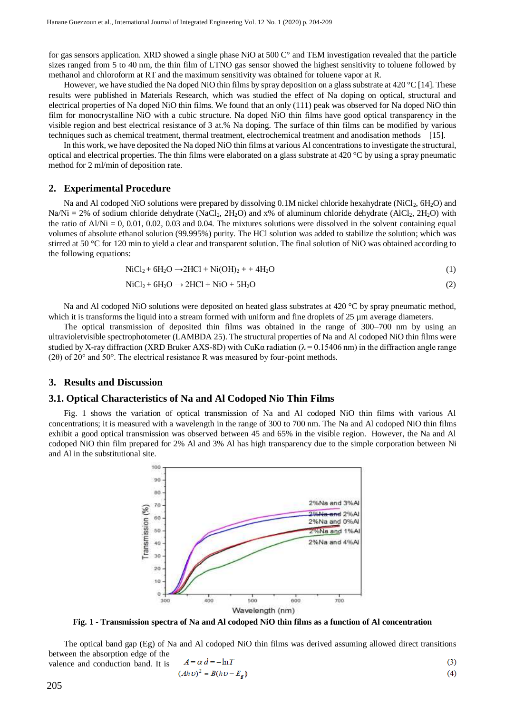for gas sensors application. XRD showed a single phase NiO at 500 C° and TEM investigation revealed that the particle sizes ranged from 5 to 40 nm, the thin film of LTNO gas sensor showed the highest sensitivity to toluene followed by methanol and chloroform at RT and the maximum sensitivity was obtained for toluene vapor at R.

However, we have studied the Na doped NiO thin films by spray deposition on a glass substrate at 420 °C [14]. These results were published in Materials Research, which was studied the effect of Na doping on optical, structural and electrical properties of Na doped NiO thin films. We found that an only (111) peak was observed for Na doped NiO thin film for monocrystalline NiO with a cubic structure. Na doped NiO thin films have good optical transparency in the visible region and best electrical resistance of 3 at.% Na doping. The surface of thin films can be modified by various techniques such as chemical treatment, thermal treatment, electrochemical treatment and anodisation methods [15].

In this work, we have deposited the Na doped NiO thin films at various Al concentrations to investigate the structural, optical and electrical properties. The thin films were elaborated on a glass substrate at  $420\degree C$  by using a spray pneumatic method for 2 ml/min of deposition rate.

#### **2. Experimental Procedure**

Na and Al codoped NiO solutions were prepared by dissolving 0.1M nickel chloride hexahydrate (NiCl<sub>2</sub>, 6H<sub>2</sub>O) and  $Na/Ni = 2\%$  of sodium chloride dehydrate (NaCl<sub>2</sub>, 2H<sub>2</sub>O) and x% of aluminum chloride dehydrate (AlCl<sub>2</sub>, 2H<sub>2</sub>O) with the ratio of  $A/Ni = 0$ , 0.01, 0.02, 0.03 and 0.04. The mixtures solutions were dissolved in the solvent containing equal volumes of absolute ethanol solution (99.995%) purity. The HCl solution was added to stabilize the solution; which was stirred at 50 °C for 120 min to yield a clear and transparent solution. The final solution of NiO was obtained according to the following equations:

$$
\text{NiCl}_2 + 6\text{H}_2\text{O} \rightarrow 2\text{HCl} + \text{Ni(OH)}_2 + + 4\text{H}_2\text{O}
$$
\n<sup>(1)</sup>

$$
\text{NiCl}_2 + 6\text{H}_2\text{O} \rightarrow 2\text{HCl} + \text{NiO} + 5\text{H}_2\text{O} \tag{2}
$$

Na and Al codoped NiO solutions were deposited on heated glass substrates at 420 °C by spray pneumatic method, which it is transforms the liquid into a stream formed with uniform and fine droplets of  $25 \mu m$  average diameters.

The optical transmission of deposited thin films was obtained in the range of 300–700 nm by using an ultravioletvisible spectrophotometer (LAMBDA 25). The structural properties of Na and Al codoped NiO thin films were studied by X-ray diffraction (XRD Bruker AXS-8D) with CuK $\alpha$  radiation ( $\lambda$  = 0.15406 nm) in the diffraction angle range (2θ) of 20° and 50°. The electrical resistance R was measured by four-point methods.

#### **3. Results and Discussion**

#### **3.1. Optical Characteristics of Na and Al Codoped Nio Thin Films**

Fig. 1 shows the variation of optical transmission of Na and Al codoped NiO thin films with various Al concentrations; it is measured with a wavelength in the range of 300 to 700 nm. The Na and Al codoped NiO thin films exhibit a good optical transmission was observed between 45 and 65% in the visible region. However, the Na and Al codoped NiO thin film prepared for 2% Al and 3% Al has high transparency due to the simple corporation between Ni and Al in the substitutional site.



**Fig. 1 - Transmission spectra of Na and Al codoped NiO thin films as a function of Al concentration**

The optical band gap (Eg) of Na and Al codoped NiO thin films was derived assuming allowed direct transitions between the absorption edge of the valence and conduction band. It is

$$
A = \alpha d = -\ln T
$$
\n
$$
(Ah\nu)^2 = B(h\nu - E_e)
$$
\n
$$
(3)
$$
\n
$$
(4)
$$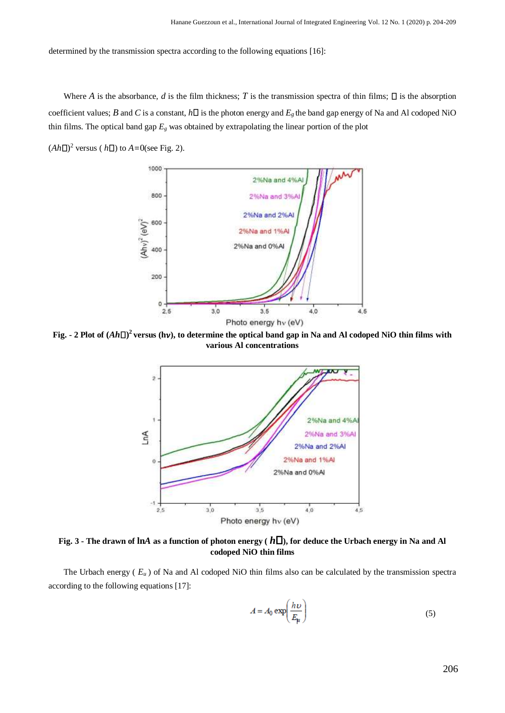determined by the transmission spectra according to the following equations [16]:

Where *A* is the absorbance, *d* is the film thickness; *T* is the transmission spectra of thin films;  $\Box$  is the absorption coefficient values; *B* and *C* is a constant,  $h\Box$  is the photon energy and  $E_g$  the band gap energy of Na and Al codoped NiO thin films. The optical band gap  $E_g$  was obtained by extrapolating the linear portion of the plot

 $(Ah\Box)^2$  versus ( $h\Box$ ) to  $A=0$ (see Fig. 2).



Fig. - 2 Plot of  $(Ah\Box)^2$  versus (hv), to determine the optical band gap in Na and Al codoped NiO thin films with **various Al concentrations**



**Fig. 3 - The drawn of ln***A* **as a function of photon energy (** *h* **), for deduce the Urbach energy in Na and Al codoped NiO thin films**

The Urbach energy ( $E_u$ ) of Na and Al codoped NiO thin films also can be calculated by the transmission spectra according to the following equations [17]:

$$
A = A_0 \exp\left(\frac{h\nu}{E_\mu}\right) \tag{5}
$$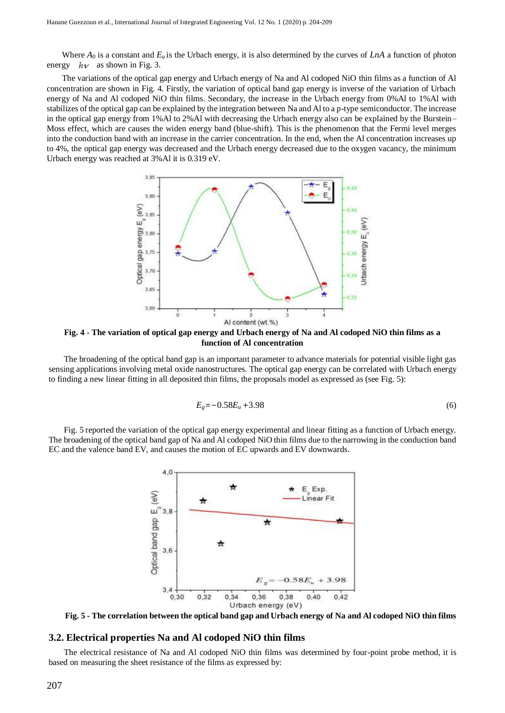Where  $A_0$  is a constant and  $E_u$  is the Urbach energy, it is also determined by the curves of LnA a function of photon energy  $h\nu$  as shown in Fig. 3.

The variations of the optical gap energy and Urbach energy of Na and Al codoped NiO thin films as a function of Al concentration are shown in Fig. 4. Firstly, the variation of optical band gap energy is inverse of the variation of Urbach energy of Na and Al codoped NiO thin films. Secondary, the increase in the Urbach energy from 0%Al to 1%Al with stabilizes of the optical gap can be explained by the integration between Na and Al to a p-type semiconductor. The increase in the optical gap energy from 1%Al to 2%Al with decreasing the Urbach energy also can be explained by the Burstein– Moss effect, which are causes the widen energy band (blue-shift). This is the phenomenon that the Fermi level merges into the conduction band with an increase in the carrier concentration. In the end, when the Al concentration increases up to 4%, the optical gap energy was decreased and the Urbach energy decreased due to the oxygen vacancy, the minimum Urbach energy was reached at 3%Al it is 0.319 eV.



**Fig. 4 - The variation of optical gap energy and Urbach energy of Na and Al codoped NiO thin films as a function of Al concentration**

The broadening of the optical band gap is an important parameter to advance materials for potential visible light gas sensing applications involving metal oxide nanostructures. The optical gap energy can be correlated with Urbach energy to finding a new linear fitting in all deposited thin films, the proposals model as expressed as (see Fig. 5):

$$
E_g = -0.58E_u + 3.98\tag{6}
$$

Fig. 5 reported the variation of the optical gap energy experimental and linear fitting as a function of Urbach energy. The broadening of the optical band gap of Na and Al codoped NiO thin films due to the narrowing in the conduction band EC and the valence band EV, and causes the motion of EC upwards and EV downwards.



**Fig. 5 - The correlation between the optical band gap and Urbach energy of Na and Al codoped NiO thin films**

#### **3.2. Electrical properties Na and Al codoped NiO thin films**

The electrical resistance of Na and Al codoped NiO thin films was determined by four-point probe method, it is based on measuring the sheet resistance of the films as expressed by: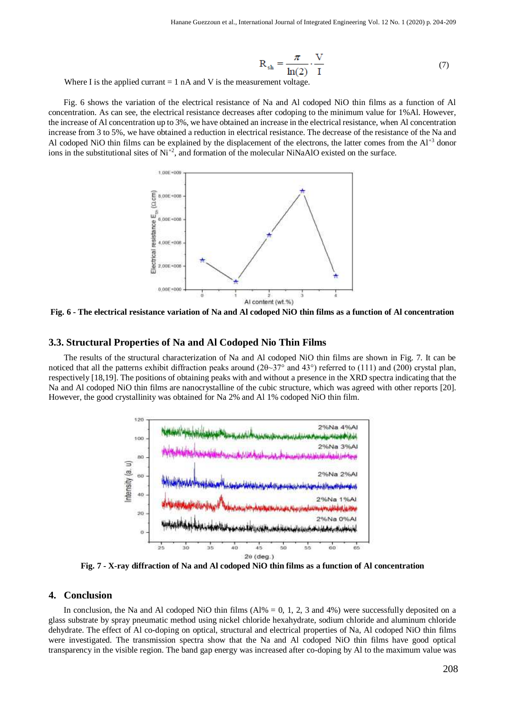$$
R_{sh} = \frac{\pi}{\ln(2)} \cdot \frac{V}{I}
$$
 (7)

Where I is the applied currant  $= 1$  nA and V is the measurement voltage.

Fig. 6 shows the variation of the electrical resistance of Na and Al codoped NiO thin films as a function of Al concentration. As can see, the electrical resistance decreases after codoping to the minimum value for 1%Al. However, the increase of Al concentration up to 3%, we have obtained an increase in the electrical resistance, when Al concentration increase from 3 to 5%, we have obtained a reduction in electrical resistance. The decrease of the resistance of the Na and Al codoped NiO thin films can be explained by the displacement of the electrons, the latter comes from the  $Al^{+3}$  donor ions in the substitutional sites of  $Ni^{+2}$ , and formation of the molecular NiNaAlO existed on the surface.



**Fig. 6 - The electrical resistance variation of Na and Al codoped NiO thin films as a function of Al concentration**

#### **3.3. Structural Properties of Na and Al Codoped Nio Thin Films**

The results of the structural characterization of Na and Al codoped NiO thin films are shown in Fig. 7. It can be noticed that all the patterns exhibit diffraction peaks around (2θ~37° and 43°) referred to (111) and (200) crystal plan, respectively [18,19]. The positions of obtaining peaks with and without a presence in the XRD spectra indicating that the Na and Al codoped NiO thin films are nanocrystalline of the cubic structure, which was agreed with other reports [20]. However, the good crystallinity was obtained for Na 2% and Al 1% codoped NiO thin film.



**Fig. 7 - X-ray diffraction of Na and Al codoped NiO thin films as a function of Al concentration**

### **4. Conclusion**

In conclusion, the Na and Al codoped NiO thin films  $(A1\% = 0, 1, 2, 3$  and 4%) were successfully deposited on a glass substrate by spray pneumatic method using nickel chloride hexahydrate, sodium chloride and aluminum chloride dehydrate. The effect of Al co-doping on optical, structural and electrical properties of Na, Al codoped NiO thin films were investigated. The transmission spectra show that the Na and Al codoped NiO thin films have good optical transparency in the visible region. The band gap energy was increased after co-doping by Al to the maximum value was